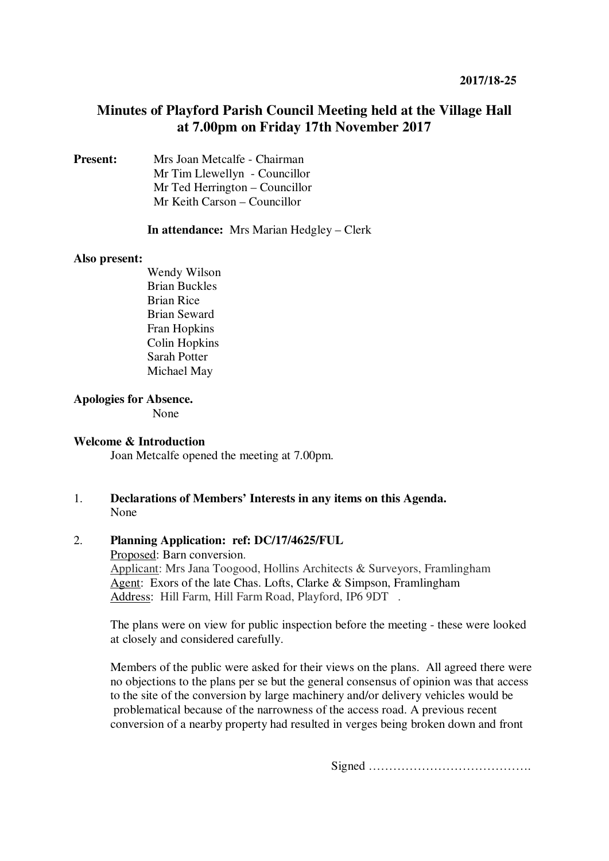# **Minutes of Playford Parish Council Meeting held at the Village Hall at 7.00pm on Friday 17th November 2017**

**Present:** Mrs Joan Metcalfe - Chairman Mr Tim Llewellyn- Councillor Mr Ted Herrington – Councillor Mr Keith Carson – Councillor

## **In attendance:** Mrs Marian Hedgley – Clerk

#### **Also present:**

Wendy Wilson Brian Buckles Brian Rice Brian Seward Fran Hopkins Colin Hopkins Sarah Potter Michael May

# **Apologies for Absence.**

None

# **Welcome & Introduction**

Joan Metcalfe opened the meeting at 7.00pm.

1. **Declarations of Members' Interests in any items on this Agenda.**  None

## 2. **Planning Application: ref: DC/17/4625/FUL**

Proposed: Barn conversion. Applicant: Mrs Jana Toogood, Hollins Architects & Surveyors, Framlingham Agent: Exors of the late Chas. Lofts, Clarke & Simpson, Framlingham Address: Hill Farm, Hill Farm Road, Playford, IP6 9DT .

The plans were on view for public inspection before the meeting - these were looked at closely and considered carefully.

Members of the public were asked for their views on the plans. All agreed there were no objections to the plans per se but the general consensus of opinion was that access to the site of the conversion by large machinery and/or delivery vehicles would be problematical because of the narrowness of the access road. A previous recent conversion of a nearby property had resulted in verges being broken down and front

Signed ………………………………….